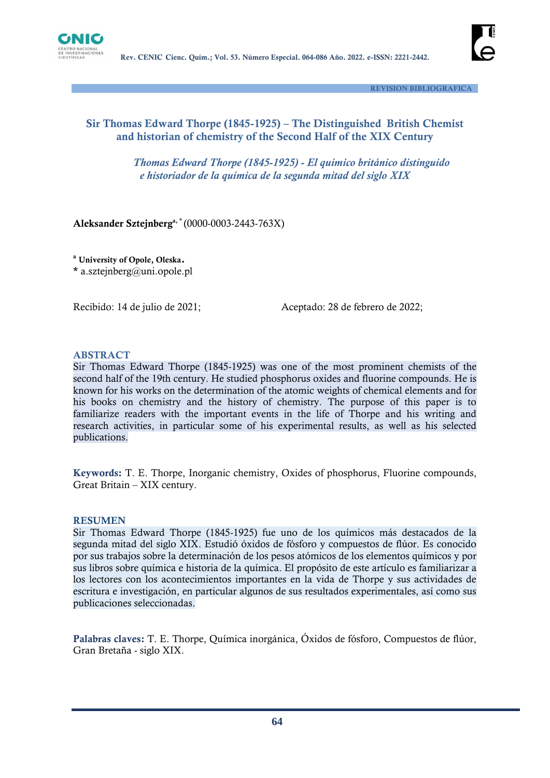



 **REVISION BIBLIOGRAFICA**

# **Sir Thomas Edward Thorpe (1845-1925) – The Distinguished British Chemist and historian of chemistry of the Second Half of the XIX Century**

*Thomas Edward Thorpe (1845-1925) - El químico británico distinguido e historiador de la química de la segunda mitad del siglo XIX*

**Aleksander Sztejnberga, \*** (0000-0003-2443-763X)

**<sup>a</sup> University of Opole, Oleska. \*** a.sztejnberg@uni.opole.pl

Recibido: 14 de julio de 2021;Aceptado: 28 de febrero de 2022;

### **ABSTRACT**

Sir Thomas Edward Thorpe (1845-1925) was one of the most prominent chemists of the second half of the 19th century. He studied phosphorus oxides and fluorine compounds. He is known for his works on the determination of the atomic weights of chemical elements and for his books on chemistry and the history of chemistry. The purpose of this paper is to familiarize readers with the important events in the life of Thorpe and his writing and research activities, in particular some of his experimental results, as well as his selected publications.

**Keywords:** T. E. Thorpe, Inorganic chemistry, Oxides of phosphorus, Fluorine compounds, Great Britain – XIX century.

#### **RESUMEN**

Sir Thomas Edward Thorpe (1845-1925) fue uno de los químicos más destacados de la segunda mitad del siglo XIX. Estudió óxidos de fósforo y compuestos de flúor. Es conocido por sus trabajos sobre la determinación de los pesos atómicos de los elementos químicos y por sus libros sobre química e historia de la química. El propósito de este artículo es familiarizar a los lectores con los acontecimientos importantes en la vida de Thorpe y sus actividades de escritura e investigación, en particular algunos de sus resultados experimentales, así como sus publicaciones seleccionadas.

**Palabras claves:** T. E. Thorpe, Química inorgánica, Óxidos de fósforo, Compuestos de flúor, Gran Bretaña - siglo XIX.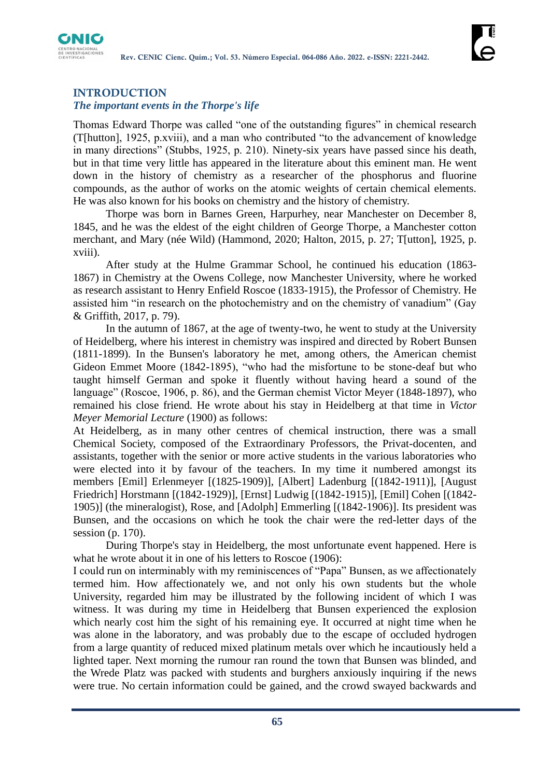

### **INTRODUCTION** *The important events in the Thorpe's life*

Thomas Edward Thorpe was called "one of the outstanding figures" in chemical research (T[hutton], 1925, p.xviii), and a man who contributed "to the advancement of knowledge in many directions" (Stubbs, 1925, p. 210). Ninety-six years have passed since his death, but in that time very little has appeared in the literature about this eminent man. He went down in the history of chemistry as a researcher of the phosphorus and fluorine compounds, as the author of works on the atomic weights of certain chemical elements. He was also known for his books on chemistry and the history of chemistry.

Thorpe was born in Barnes Green, Harpurhey, near Manchester on December 8, 1845, and he was the eldest of the eight children of George Thorpe, a Manchester cotton merchant, and Mary (née Wild) (Hammond, 2020; Halton, 2015, p. 27; T[utton], 1925, p. xviii).

After study at the Hulme Grammar School, he continued his education (1863- 1867) in Chemistry at the Owens College, now Manchester University, where he worked as research assistant to Henry Enfield Roscoe (1833-1915), the Professor of Chemistry. He assisted him "in research on the photochemistry and on the chemistry of vanadium" (Gay & Griffith, 2017, p. 79).

In the autumn of 1867, at the age of twenty-two, he went to study at the University of Heidelberg, where his interest in chemistry was inspired and directed by Robert Bunsen (1811-1899). In the Bunsen's laboratory he met, among others, the American chemist Gideon Emmet Moore (1842-1895), "who had the misfortune to be stone-deaf but who taught himself German and spoke it fluently without having heard a sound of the language" (Roscoe, 1906, p. 86), and the German chemist Victor Meyer (1848-1897), who remained his close friend. He wrote about his stay in Heidelberg at that time in *Victor Meyer Memorial Lecture* (1900) as follows:

At Heidelberg, as in many other centres of chemical instruction, there was a small Chemical Society, composed of the Extraordinary Professors, the Privat-docenten, and assistants, together with the senior or more active students in the various laboratories who were elected into it by favour of the teachers. In my time it numbered amongst its members [Emil] Erlenmeyer [(1825-1909)], [Albert] Ladenburg [(1842-1911)], [August Friedrich] Horstmann [(1842-1929)], [Ernst] Ludwig [(1842-1915)], [Emil] Cohen [(1842- 1905)] (the mineralogist), Rose, and [Adolph] Emmerling [(1842-1906)]. Its president was Bunsen, and the occasions on which he took the chair were the red-letter days of the session (p. 170).

During Thorpe's stay in Heidelberg, the most unfortunate event happened. Here is what he wrote about it in one of his letters to Roscoe (1906):

I could run on interminably with my reminiscences of "Papa" Bunsen, as we affectionately termed him. How affectionately we, and not only his own students but the whole University, regarded him may be illustrated by the following incident of which I was witness. It was during my time in Heidelberg that Bunsen experienced the explosion which nearly cost him the sight of his remaining eye. It occurred at night time when he was alone in the laboratory, and was probably due to the escape of occluded hydrogen from a large quantity of reduced mixed platinum metals over which he incautiously held a lighted taper. Next morning the rumour ran round the town that Bunsen was blinded, and the Wrede Platz was packed with students and burghers anxiously inquiring if the news were true. No certain information could be gained, and the crowd swayed backwards and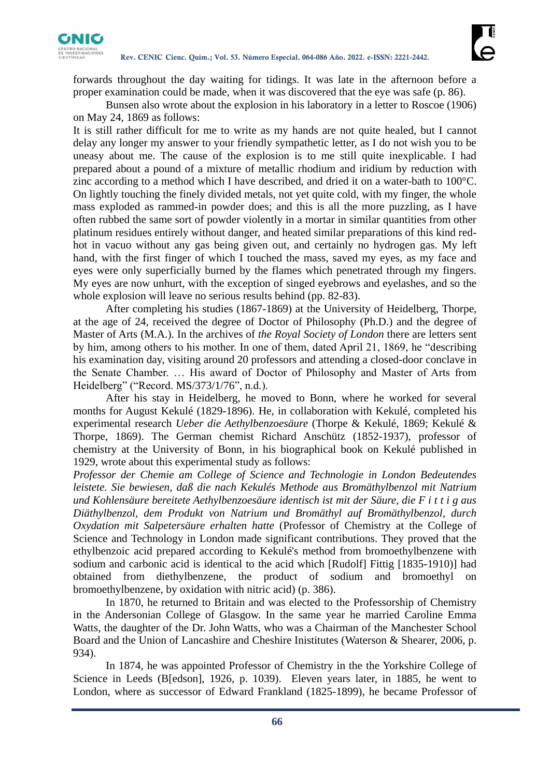

forwards throughout the day waiting for tidings. It was late in the afternoon before a proper examination could be made, when it was discovered that the eye was safe (p. 86).

Bunsen also wrote about the explosion in his laboratory in a letter to Roscoe (1906) on May 24, 1869 as follows:

It is still rather difficult for me to write as my hands are not quite healed, but I cannot delay any longer my answer to your friendly sympathetic letter, as I do not wish you to be uneasy about me. The cause of the explosion is to me still quite inexplicable. I had prepared about a pound of a mixture of metallic rhodium and iridium by reduction with zinc according to a method which I have described, and dried it on a water-bath to  $100^{\circ}$ C. On lightly touching the finely divided metals, not yet quite cold, with my finger, the whole mass exploded as rammed-in powder does; and this is all the more puzzling, as I have often rubbed the same sort of powder violently in a mortar in similar quantities from other platinum residues entirely without danger, and heated similar preparations of this kind redhot in vacuo without any gas being given out, and certainly no hydrogen gas. My left hand, with the first finger of which I touched the mass, saved my eyes, as my face and eyes were only superficially burned by the flames which penetrated through my fingers. My eyes are now unhurt, with the exception of singed eyebrows and eyelashes, and so the whole explosion will leave no serious results behind (pp. 82-83).

After completing his studies (1867-1869) at the University of Heidelberg, Thorpe, at the age of 24, received the degree of Doctor of Philosophy (Ph.D.) and the degree of Master of Arts (M.A.). In the archives of *the Royal Society of London* there are letters sent by him, among others to his mother. In one of them, dated April 21, 1869, he "describing his examination day, visiting around 20 professors and attending a closed-door conclave in the Senate Chamber. … His award of Doctor of Philosophy and Master of Arts from Heidelberg" ("Record. MS/373/1/76", n.d.).

After his stay in Heidelberg, he moved to Bonn, where he worked for several months for August Kekulé (1829-1896). He, in collaboration with Kekulé, completed his experimental research *Ueber die Aethylbenzoesäure* (Thorpe & Kekulé, 1869; Kekulé & Thorpe, 1869). The German chemist Richard Anschütz (1852-1937), professor of chemistry at the University of Bonn, in his biographical book on Kekulé published in 1929, wrote about this experimental study as follows:

*Professor der Chemie am College of Science and Technologie in London Bedeutendes leistete. Sie bewiesen, daß die nach Kekulés Methode aus Bromäthylbenzol mit Natrium und Kohlensäure bereitete Aethylbenzoesäure identisch ist mit der Säure, die F i t t i g aus Diäthylbenzol, dem Produkt von Natrium und Bromäthyl auf Bromäthylbenzol, durch Oxydation mit Salpetersäure erhalten hatte* (Professor of Chemistry at the College of Science and Technology in London made significant contributions. They proved that the ethylbenzoic acid prepared according to Kekulé's method from bromoethylbenzene with sodium and carbonic acid is identical to the acid which [Rudolf] Fittig [1835-1910)] had obtained from diethylbenzene, the product of sodium and bromoethyl on bromoethylbenzene, by oxidation with nitric acid) (p. 386).

In 1870, he returned to Britain and was elected to the Professorship of Chemistry in the Andersonian College of Glasgow. In the same year he married Caroline Emma Watts, the daughter of the Dr. John Watts, who was a Chairman of the Manchester School Board and the Union of Lancashire and Cheshire Inistitutes (Waterson & Shearer, 2006, p. 934).

In 1874, he was appointed Professor of Chemistry in the the Yorkshire College of Science in Leeds (B[edson], 1926, p. 1039). Eleven years later, in 1885, he went to London, where as successor of Edward Frankland (1825-1899), he became Professor of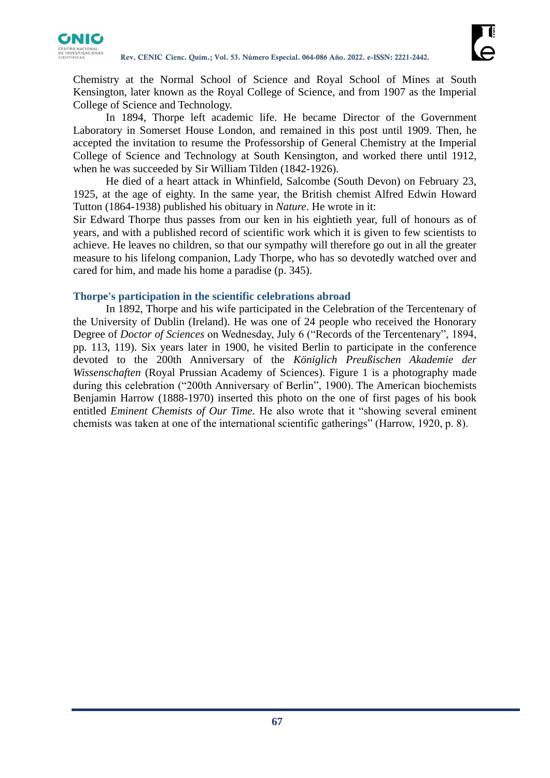

Chemistry at the Normal School of Science and Royal School of Mines at South Kensington, later known as the Royal College of Science, and from 1907 as the Imperial College of Science and Technology.

In 1894, Thorpe left academic life. He became Director of the Government Laboratory in Somerset House London, and remained in this post until 1909. Then, he accepted the invitation to resume the Professorship of General Chemistry at the Imperial College of Science and Technology at South Kensington, and worked there until 1912, when he was succeeded by Sir William Tilden (1842-1926).

He died of a heart attack in Whinfield, Salcombe (South Devon) on February 23, 1925, at the age of eighty. In the same year, the British chemist Alfred Edwin Howard Tutton (1864-1938) published his obituary in *Nature*. He wrote in it:

Sir Edward Thorpe thus passes from our ken in his eightieth year, full of honours as of years, and with a published record of scientific work which it is given to few scientists to achieve. He leaves no children, so that our sympathy will therefore go out in all the greater measure to his lifelong companion, Lady Thorpe, who has so devotedly watched over and cared for him, and made his home a paradise (p. 345).

### **Thorpe's participation in the scientific celebrations abroad**

In 1892, Thorpe and his wife participated in the Celebration of the Tercentenary of the University of Dublin (Ireland). He was one of 24 people who received the Honorary Degree of *Doctor of Sciences* on Wednesday, July 6 ("Records of the Tercentenary", 1894, pp. 113, 119). Six years later in 1900, he visited Berlin to participate in the conference devoted to the 200th Anniversary of the *Königlich Preußischen Akademie der Wissenschaften* (Royal Prussian Academy of Sciences). Figure 1 is a photography made during this celebration ("200th Anniversary of Berlin", 1900). The American biochemists Benjamin Harrow (1888-1970) inserted this photo on the one of first pages of his book entitled *Eminent Chemists of Our Time.* He also wrote that it "showing several eminent chemists was taken at one of the international scientific gatherings" (Harrow, 1920, p. 8).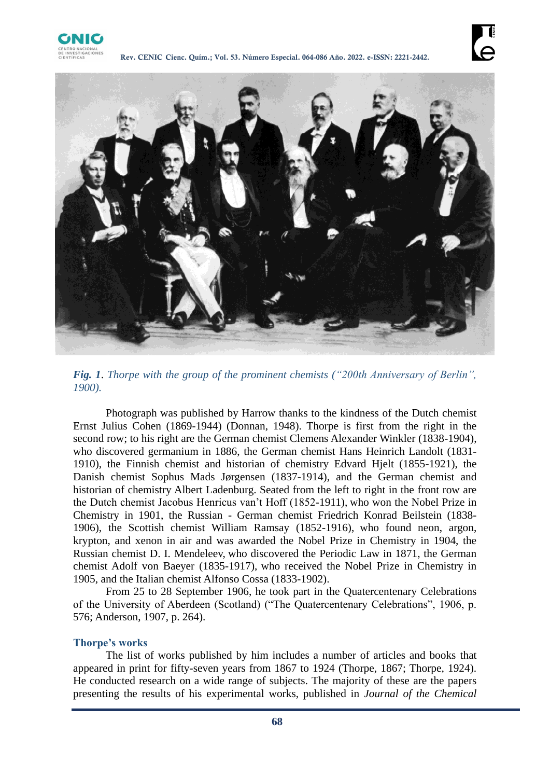



*Fig. 1*. *Thorpe with the group of the prominent chemists ("200th Anniversary of Berlin", 1900).*

Photograph was published by Harrow thanks to the kindness of the Dutch chemist Ernst Julius Cohen (1869-1944) (Donnan, 1948). Thorpe is first from the right in the second row; to his right are the German chemist Clemens Alexander Winkler (1838-1904), who discovered germanium in 1886, the German chemist Hans Heinrich Landolt (1831- 1910), the Finnish chemist and historian of chemistry Edvard Hjelt (1855-1921), the Danish chemist Sophus Mads Jørgensen (1837-1914), and the German chemist and historian of chemistry Albert Ladenburg. Seated from the left to right in the front row are the Dutch chemist Jacobus Henricus van't Hoff (1852-1911), who won the Nobel Prize in Chemistry in 1901, the Russian - German chemist Friedrich Konrad Beilstein (1838- 1906), the Scottish chemist William Ramsay (1852-1916), who found neon, argon, krypton, and xenon in air and was awarded the Nobel Prize in Chemistry in 1904, the Russian chemist D. I. Mendeleev, who discovered the Periodic Law in 1871, the German chemist Adolf von Baeyer (1835-1917), who received the Nobel Prize in Chemistry in 1905, and the Italian chemist Alfonso Cossa (1833-1902).

From 25 to 28 September 1906, he took part in the Quatercentenary Celebrations of the University of Aberdeen (Scotland) ("The Quatercentenary Celebrations", 1906, p. 576; Anderson, 1907, p. 264).

#### **Thorpe's works**

The list of works published by him includes a number of articles and books that appeared in print for fifty-seven years from 1867 to 1924 (Thorpe, 1867; Thorpe, 1924). He conducted research on a wide range of subjects. The majority of these are the papers presenting the results of his experimental works, published in *Journal of the Chemical*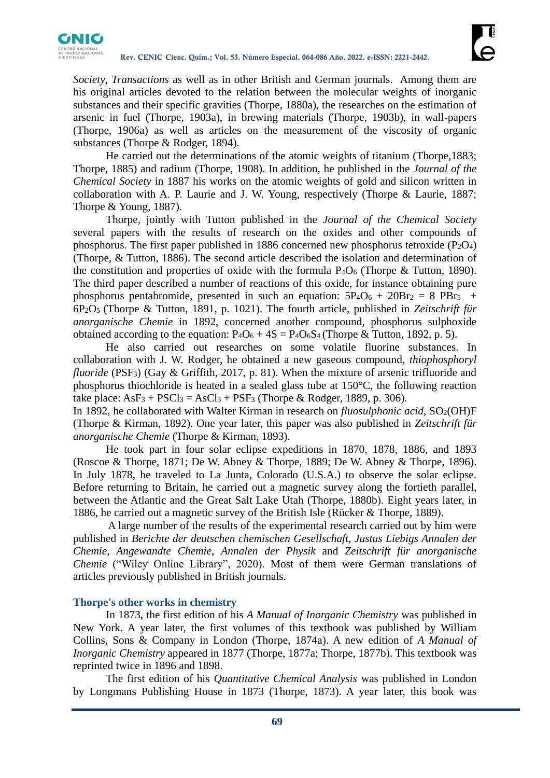

*Society*, *Transactions* as well as in other British and German journals. Among them are his original articles devoted to the relation between the molecular weights of inorganic substances and their specific gravities (Thorpe, 1880a), the researches on the estimation of arsenic in fuel (Thorpe, 1903a), in brewing materials (Thorpe, 1903b), in wall-papers (Thorpe, 1906a) as well as articles on the measurement of the viscosity of organic substances (Thorpe & Rodger, 1894).

He carried out the determinations of the atomic weights of titanium (Thorpe,1883; Thorpe, 1885) and radium (Thorpe, 1908). In addition, he published in the *Journal of the Chemical Society* in 1887 his works on the atomic weights of gold and silicon written in collaboration with A. P. Laurie and J. W. Young, respectively (Thorpe & Laurie, 1887; Thorpe & Young, 1887).

Thorpe, jointly with Tutton published in the *Journal of the Chemical Society*  several papers with the results of research on the oxides and other compounds of phosphorus. The first paper published in 1886 concerned new phosphorus tetroxide  $(P_2O_4)$ (Thorpe, & Tutton, 1886). The second article described the isolation and determination of the constitution and properties of oxide with the formula  $P_4O_6$  (Thorpe & Tutton, 1890). The third paper described a number of reactions of this oxide, for instance obtaining pure phosphorus pentabromide, presented in such an equation:  $5P_4O_6 + 20Br_2 = 8 PBr_5 +$ 6P2O5 (Thorpe & Tutton, 1891, p. 1021). The fourth article, published in *Zeitschrift für anorganische Chemie* in 1892, concerned another compound, phosphorus sulphoxide obtained according to the equation:  $P_4O_6 + 4S = P_4O_6S_4$  (Thorpe & Tutton, 1892, p. 5).

He also carried out researches on some volatile fluorine substances. In collaboration with J. W. Rodger, he obtained a new gaseous compound, *thiophosphoryl fluoride* (PSF3) (Gay & Griffith, 2017, p. 81). When the mixture of arsenic trifluoride and phosphorus thiochloride is heated in a sealed glass tube at 150°C, the following reaction take place:  $\text{AsF}_3 + \text{PSC1}_3 = \text{AsC1}_3 + \text{PSF}_3$  (Thorpe & Rodger, 1889, p. 306).

In 1892, he collaborated with Walter Kirman in research on *fluosulphonic acid*, SO<sub>2</sub>(OH)F (Thorpe & Kirman, 1892). One year later, this paper was also published in *Zeitschrift für anorganische Chemie* (Thorpe & Kirman, 1893).

He took part in four solar eclipse expeditions in 1870, 1878, 1886, and 1893 (Roscoe & Thorpe, 1871; De W. Abney & Thorpe, 1889; De W. Abney & Thorpe, 1896). In July 1878, he traveled to La Junta, Colorado (U.S.A.) to observe the solar eclipse. Before returning to Britain, he carried out a magnetic survey along the fortieth parallel, between the Atlantic and the Great Salt Lake Utah (Thorpe, 1880b). Eight years later, in 1886, he carried out a magnetic survey of the British Isle (Rücker & Thorpe, 1889).

A large number of the results of the experimental research carried out by him were published in *Berichte der deutschen chemischen Gesellschaft*, *Justus Liebigs Annalen der Chemie*, *Angewandte Chemie*, *Annalen der Physik* and *Zeitschrift für anorganische Chemie* ("Wiley Online Library", 2020). Most of them were German translations of articles previously published in British journals.

## **Thorpe's other works in chemistry**

In 1873, the first edition of his *A Manual of Inorganic Chemistry* was published in New York. A year later, the first volumes of this textbook was published by William Collins, Sons & Company in London (Thorpe, 1874a). A new edition of *A Manual of Inorganic Chemistry* appeared in 1877 (Thorpe, 1877a; Thorpe, 1877b). This textbook was reprinted twice in 1896 and 1898.

The first edition of his *Quantitative Chemical Analysis* was published in London by Longmans Publishing House in 1873 (Thorpe, 1873). A year later, this book was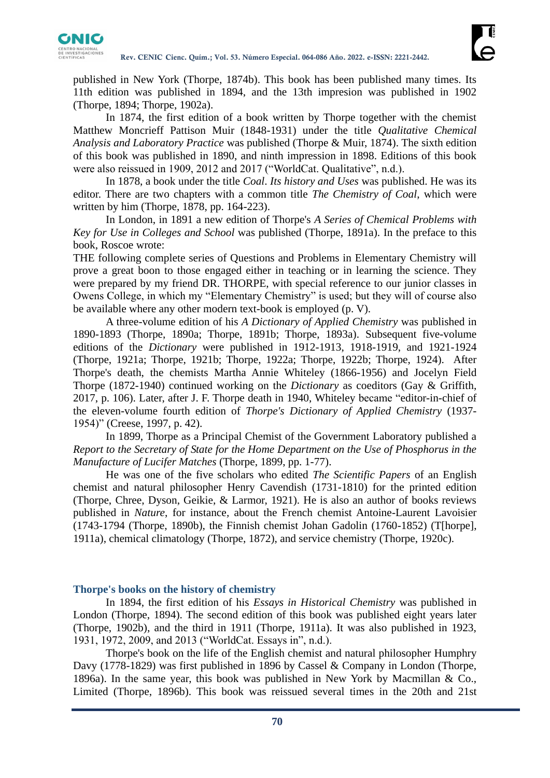

published in New York (Thorpe, 1874b). This book has been published many times. Its 11th edition was published in 1894, and the 13th impresion was published in 1902 (Thorpe, 1894; Thorpe, 1902a).

In 1874, the first edition of a book written by Thorpe together with the chemist Matthew Moncrieff Pattison Muir (1848-1931) under the title *Qualitative Chemical Analysis and Laboratory Practice* was published (Thorpe & Muir, 1874). The sixth edition of this book was published in 1890, and ninth impression in 1898. Editions of this book were also reissued in 1909, 2012 and 2017 ("WorldCat. Qualitative", n.d.).

In 1878, a book under the title *Coal*. *Its history and Uses* was published. He was its editor. There are two chapters with a common title *The Chemistry of Coal*, which were written by him (Thorpe, 1878, pp. 164-223).

In London, in 1891 a new edition of Thorpe's *A Series of Chemical Problems with Key for Use in Colleges and School* was published (Thorpe, 1891a). In the preface to this book, Roscoe wrote:

THE following complete series of Questions and Problems in Elementary Chemistry will prove a great boon to those engaged either in teaching or in learning the science. They were prepared by my friend DR. THORPE, with special reference to our junior classes in Owens College, in which my "Elementary Chemistry" is used; but they will of course also be available where any other modern text-book is employed (p. V).

A three-volume edition of his *A Dictionary of Applied Chemistry* was published in 1890-1893 (Thorpe, 1890a; Thorpe, 1891b; Thorpe, 1893a). Subsequent five-volume editions of the *Dictionary* were published in 1912-1913, 1918-1919, and 1921-1924 (Thorpe, 1921a; Thorpe, 1921b; Thorpe, 1922a; Thorpe, 1922b; Thorpe, 1924). After Thorpe's death, the chemists Martha Annie Whiteley (1866-1956) and Jocelyn Field Thorpe (1872-1940) continued working on the *Dictionary* as coeditors (Gay & Griffith, 2017, p. 106). Later, after J. F. Thorpe death in 1940, Whiteley became "editor-in-chief of the eleven-volume fourth edition of *Thorpe's Dictionary of Applied Chemistry* (1937- 1954)" (Creese, 1997, p. 42).

In 1899, Thorpe as a Principal Chemist of the Government Laboratory published a *Report to the Secretary of State for the Home Department on the Use of Phosphorus in the Manufacture of Lucifer Matches* (Thorpe, 1899, pp. 1-77).

He was one of the five scholars who edited *The Scientific Papers* of an English chemist and natural philosopher Henry Cavendish (1731-1810) for the printed edition (Thorpe, Chree, Dyson, Geikie, & Larmor, 1921). He is also an author of books reviews published in *Nature*, for instance*,* about the French chemist Antoine-Laurent Lavoisier (1743-1794 (Thorpe, 1890b), the Finnish chemist Johan Gadolin (1760-1852) (T[horpe], 1911a), chemical climatology (Thorpe, 1872), and service chemistry (Thorpe, 1920c).

## **Thorpe's books on the history of chemistry**

In 1894, the first edition of his *Essays in Historical Chemistry* was published in London (Thorpe, 1894). The second edition of this book was published eight years later (Thorpe, 1902b), and the third in 1911 (Thorpe, 1911a). It was also published in 1923, 1931, 1972, 2009, and 2013 ("WorldCat. Essays in", n.d.).

Thorpe's book on the life of the English chemist and natural philosopher Humphry Davy (1778-1829) was first published in 1896 by Cassel & Company in London (Thorpe, 1896a). In the same year, this book was published in New York by Macmillan & Co., Limited (Thorpe, 1896b). This book was reissued several times in the 20th and 21st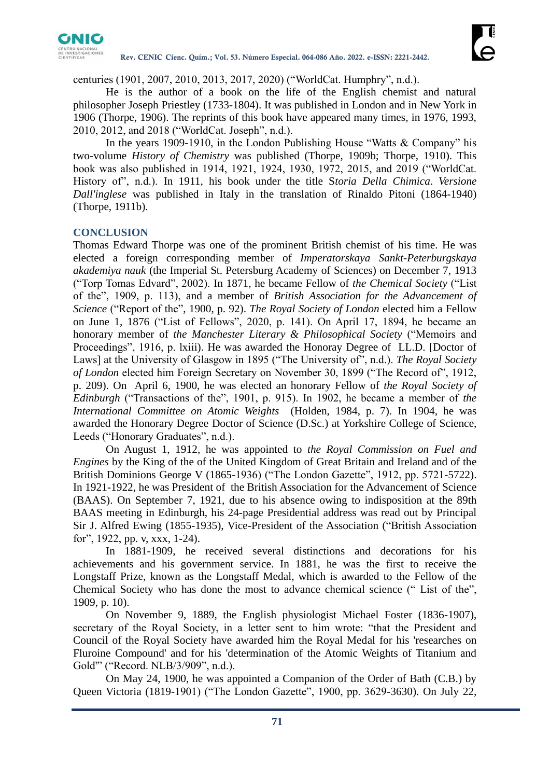

centuries (1901, 2007, 2010, 2013, 2017, 2020) ("WorldCat. Humphry", n.d.).

He is the author of a book on the life of the English chemist and natural philosopher Joseph Priestley (1733-1804). It was published in London and in New York in 1906 (Thorpe, 1906). The reprints of this book have appeared many times, in 1976, 1993, 2010, 2012, and 2018 ("WorldCat. Joseph", n.d.).

In the years 1909-1910, in the London Publishing House "Watts & Company" his two-volume *History of Chemistry* was published (Thorpe, 1909b; Thorpe, 1910). This book was also published in 1914, 1921, 1924, 1930, 1972, 2015, and 2019 ("WorldCat. History of", n.d.). In 1911, his book under the title S*toria Della Chimica*. *Versione Dall'inglese* was published in Italy in the translation of Rinaldo Pitoni (1864-1940) (Thorpe, 1911b).

## **CONCLUSION**

Thomas Edward Thorpe was one of the prominent British chemist of his time. He was elected a foreign corresponding member of *Imperatorskaya Sankt-Peterburgskaya akademiya nauk* (the Imperial St. Petersburg Academy of Sciences) on December 7, 1913 ("Torp Tomas Edvard", 2002). In 1871, he became Fellow of *the Chemical Society* ("List of the", 1909, p. 113), and a member of *British Association for the Advancement of Science* ("Report of the", 1900, p. 92). *The Royal Society of London* elected him a Fellow on June 1, 1876 ("List of Fellows", 2020, p. 141). On April 17, 1894, he became an honorary member of *the Manchester Literary & Philosophical Society* ("Memoirs and Proceedings", 1916, p. lxiii). He was awarded the Honoray Degree of LL.D. [Doctor of Laws] at the University of Glasgow in 1895 ("The University of", n.d.). *The Royal Society of London* elected him Foreign Secretary on November 30, 1899 ("The Record of", 1912, p. 209). On April 6, 1900, he was elected an honorary Fellow of *the Royal Society of Edinburgh* ("Transactions of the", 1901, p. 915). In 1902, he became a member of *the International Committee on Atomic Weights* (Holden, 1984, p. 7). In 1904, he was awarded the Honorary Degree Doctor of Science (D.Sc.) at Yorkshire College of Science, Leeds ("Honorary Graduates", n.d.).

On August 1, 1912, he was appointed to *the Royal Commission on Fuel and Engines* by the King of the of the United Kingdom of Great Britain and Ireland and of the British Dominions George V (1865-1936) ("The London Gazette", 1912, pp. 5721-5722). In 1921-1922, he was President of the British Association for the Advancement of Science (BAAS). On September 7, 1921, due to his absence owing to indisposition at the 89th BAAS meeting in Edinburgh, his 24-page Presidential address was read out by Principal Sir J. Alfred Ewing (1855-1935), Vice-President of the Association ("British Association for", 1922, pp. v, xxx, 1-24).

In 1881-1909, he received several distinctions and decorations for his achievements and his government service. In 1881, he was the first to receive the Longstaff Prize, known as the Longstaff Medal, which is awarded to the Fellow of the Chemical Society who has done the most to advance chemical science (" List of the", 1909, p. 10).

On November 9, 1889, the English physiologist Michael Foster (1836-1907), secretary of the Royal Society, in a letter sent to him wrote: "that the President and Council of the Royal Society have awarded him the Royal Medal for his 'researches on Fluroine Compound' and for his 'determination of the Atomic Weights of Titanium and Gold'" ("Record. NLB/3/909", n.d.).

On May 24, 1900, he was appointed a Companion of the Order of Bath (C.B.) by Queen Victoria (1819-1901) ("The London Gazette", 1900, pp. 3629-3630). On July 22,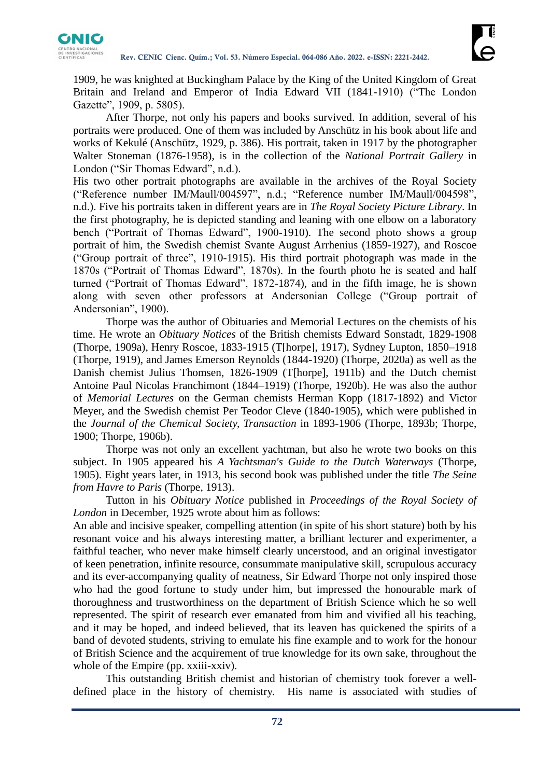

1909, he was knighted at Buckingham Palace by the King of the United Kingdom of Great Britain and Ireland and Emperor of India Edward VII (1841-1910) ("The London Gazette", 1909, p. 5805).

After Thorpe, not only his papers and books survived. In addition, several of his portraits were produced. One of them was included by Anschütz in his book about life and works of Kekulé (Anschütz, 1929, p. 386). His portrait, taken in 1917 by the photographer Walter Stoneman (1876-1958), is in the collection of the *National Portrait Gallery* in London ("Sir Thomas Edward", n.d.).

His two other portrait photographs are available in the archives of the Royal Society ("Reference number IM/Maull/004597", n.d.; "Reference number IM/Maull/004598", n.d.). Five his portraits taken in different years are in *The Royal Society Picture Library*. In the first photography, he is depicted standing and leaning with one elbow on a laboratory bench ("Portrait of Thomas Edward", 1900-1910). The second photo shows a group portrait of him, the Swedish chemist Svante August Arrhenius (1859-1927), and Roscoe ("Group portrait of three", 1910-1915). His third portrait photograph was made in the 1870s ("Portrait of Thomas Edward", 1870s). In the fourth photo he is seated and half turned ("Portrait of Thomas Edward", 1872-1874), and in the fifth image, he is shown along with seven other professors at Andersonian College ("Group portrait of Andersonian", 1900).

Thorpe was the author of Obituaries and Memorial Lectures on the chemists of his time. He wrote an *Obituary Notices* of the British chemists Edward Sonstadt, 1829-1908 (Thorpe, 1909a), Henry Roscoe, 1833-1915 (T[horpe], 1917), Sydney Lupton, 1850–1918 (Thorpe, 1919), and James Emerson Reynolds (1844-1920) (Thorpe, 2020a) as well as the Danish chemist Julius Thomsen, 1826-1909 (T[horpe], 1911b) and the Dutch chemist Antoine Paul Nicolas Franchimont (1844–1919) (Thorpe, 1920b). He was also the author of *Memorial Lectures* on the German chemists Herman Kopp (1817-1892) and Victor Meyer, and the Swedish chemist Per Teodor Cleve (1840-1905), which were published in the *Journal of the Chemical Society, Transaction* in 1893-1906 (Thorpe, 1893b; Thorpe, 1900; Thorpe, 1906b).

Thorpe was not only an excellent yachtman, but also he wrote two books on this subject. In 1905 appeared his *A Yachtsman's Guide to the Dutch Waterways* (Thorpe, 1905). Eight years later, in 1913, his second book was published under the title *The Seine from Havre to Paris* (Thorpe, 1913).

Tutton in his *Obituary Notice* published in *Proceedings of the Royal Society of London* in December, 1925 wrote about him as follows:

An able and incisive speaker, compelling attention (in spite of his short stature) both by his resonant voice and his always interesting matter, a brilliant lecturer and experimenter, a faithful teacher, who never make himself clearly uncerstood, and an original investigator of keen penetration, infinite resource, consummate manipulative skill, scrupulous accuracy and its ever-accompanying quality of neatness, Sir Edward Thorpe not only inspired those who had the good fortune to study under him, but impressed the honourable mark of thoroughness and trustworthiness on the department of British Science which he so well represented. The spirit of research ever emanated from him and vivified all his teaching, and it may be hoped, and indeed believed, that its leaven has quickened the spirits of a band of devoted students, striving to emulate his fine example and to work for the honour of British Science and the acquirement of true knowledge for its own sake, throughout the whole of the Empire (pp. xxiii-xxiv).

This outstanding British chemist and historian of chemistry took forever a welldefined place in the history of chemistry. His name is associated with studies of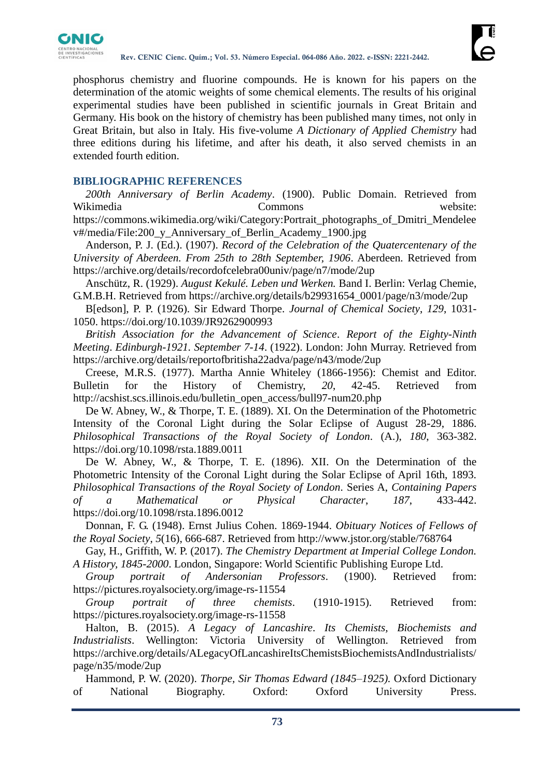

phosphorus chemistry and fluorine compounds. He is known for his papers on the determination of the atomic weights of some chemical elements. The results of his original experimental studies have been published in scientific journals in Great Britain and Germany. His book on the history of chemistry has been published many times, not only in Great Britain, but also in Italy. His five-volume *A Dictionary of Applied Chemistry* had three editions during his lifetime, and after his death, it also served chemists in an extended fourth edition.

# **BIBLIOGRAPHIC REFERENCES**

*200th Anniversary of Berlin Academy*. (1900). Public Domain. Retrieved from Wikimedia Commons website: https://commons.wikimedia.org/wiki/Category:Portrait\_photographs\_of\_Dmitri\_Mendelee

v#/media/File:200\_y\_Anniversary\_of\_Berlin\_Academy\_1900.jpg

Anderson, P. J. (Ed.). (1907). *Record of the Celebration of the Quatercentenary of the University of Aberdeen. From 25th to 28th September, 1906*. Aberdeen. Retrieved from https://archive.org/details/recordofcelebra00univ/page/n7/mode/2up

Anschütz, R. (1929). *August Kekulé. Leben und Werken.* Band I. Berlin: Verlag Chemie, G.M.B.H. Retrieved from https://archive.org/details/b29931654\_0001/page/n3/mode/2up

B[edson], P. P. (1926). Sir Edward Thorpe. *Journal of Chemical Society*, *129*, 1031- 1050. https://doi.org/10.1039/JR9262900993

*British Association for the Advancement of Science*. *Report of the Eighty-Ninth Meeting*. *Edinburgh-1921. September 7-14*. (1922). London: John Murray. Retrieved from https://archive.org/details/reportofbritisha22adva/page/n43/mode/2up

Creese, M.R.S. (1977). Martha Annie Whiteley (1866-1956): Chemist and Editor. Bulletin for the History of Chemistry, *20*, 42-45. Retrieved from http://acshist.scs.illinois.edu/bulletin\_open\_access/bull97-num20.php

De W. Abney, W., & Thorpe, T. E. (1889). XI. On the Determination of the Photometric Intensity of the Coronal Light during the Solar Eclipse of August 28-29, 1886. *Philosophical Transactions of the Royal Society of London*. (A.), *180*, 363-382. https://doi.org/10.1098/rsta.1889.0011

De W. Abney, W., & Thorpe, T. E. (1896). XII. On the Determination of the Photometric Intensity of the Coronal Light during the Solar Eclipse of April 16th, 1893. *Philosophical Transactions of the Royal Society of London*. Series A, *Containing Papers of a Mathematical or Physical Character*, *187*, 433-442. https://doi.org/10.1098/rsta.1896.0012

Donnan, F. G. (1948). Ernst Julius Cohen. 1869-1944. *Obituary Notices of Fellows of the Royal Society*, *5*(16), 666-687. Retrieved from http://www.jstor.org/stable/768764

Gay, H., Griffith, W. P. (2017). *The Chemistry Department at Imperial College London. A History, 1845-2000*. London, Singapore: World Scientific Publishing Europe Ltd.

*Group portrait of Andersonian Professors*. (1900). Retrieved from: https://pictures.royalsociety.org/image-rs-11554

*Group portrait of three chemists*. (1910-1915). Retrieved from: https://pictures.royalsociety.org/image-rs-11558

Halton, B. (2015). *A Legacy of Lancashire*. *Its Chemists, Biochemists and Industrialists*. Wellington: Victoria University of Wellington. Retrieved from https://archive.org/details/ALegacyOfLancashireItsChemistsBiochemistsAndIndustrialists/ page/n35/mode/2up

Hammond, P. W. (2020). *Thorpe, Sir Thomas Edward (1845–1925).* Oxford Dictionary of National Biography. Oxford: Oxford University Press.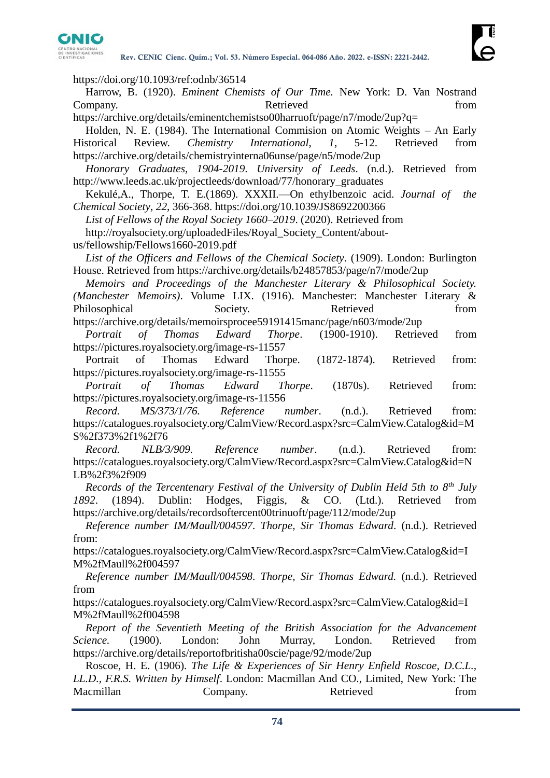

https://doi.org/10.1093/ref:odnb/36514

Harrow, B. (1920). *Eminent Chemists of Our Time.* New York: D. Van Nostrand Company. Company. **Retrieved** from the settlement of  $\mathbb{R}$  etnieved from the set of  $\mathbb{R}$  and  $\mathbb{R}$  etnieved from the set of  $\mathbb{R}$  etnies of  $\mathbb{R}$  etnies of  $\mathbb{R}$  etnies of  $\mathbb{R}$  etnies of  $\mathbb{R}$  etn

https://archive.org/details/eminentchemistso00harruoft/page/n7/mode/2up?q=

Holden, N. E. (1984). The International Commision on Atomic Weights – An Early Historical Review. *Chemistry International*, *1*, 5-12. Retrieved from https://archive.org/details/chemistryinterna06unse/page/n5/mode/2up

*Honorary Graduates, 1904-2019*. *University of Leeds*. (n.d.). Retrieved from http://www.leeds.ac.uk/projectleeds/download/77/honorary\_graduates

Kekulé,A., Thorpe, T. E.(1869). XXXII.—On ethylbenzoic acid. *Journal of the Chemical Society*, *22*, 366-368. https://doi.org/10.1039/JS8692200366

*List of Fellows of the Royal Society 1660–2019*. (2020). Retrieved from

http://royalsociety.org/uploadedFiles/Royal\_Society\_Content/about-

us/fellowship/Fellows1660-2019.pdf

*List of the Officers and Fellows of the Chemical Society*. (1909). London: Burlington House. Retrieved from https://archive.org/details/b24857853/page/n7/mode/2up

*Memoirs and Proceedings of the Manchester Literary & Philosophical Society. (Manchester Memoirs)*. Volume LIX. (1916). Manchester: Manchester Literary & Philosophical Society. Retrieved from https://archive.org/details/memoirsprocee59191415manc/page/n603/mode/2up

*Portrait of Thomas Edward Thorpe*. (1900-1910). Retrieved from https://pictures.royalsociety.org/image-rs-11557

Portrait of Thomas Edward Thorpe. (1872-1874). Retrieved from: https://pictures.royalsociety.org/image-rs-11555

*Portrait of Thomas Edward Thorpe*. (1870s). Retrieved from: https://pictures.royalsociety.org/image-rs-11556

*Record. MS/373/1/76. Reference number*. (n.d.). Retrieved from: https://catalogues.royalsociety.org/CalmView/Record.aspx?src=CalmView.Catalog&id=M S%2f373%2f1%2f76

*Record. NLB/3/909. Reference number*. (n.d.). Retrieved from: https://catalogues.royalsociety.org/CalmView/Record.aspx?src=CalmView.Catalog&id=N LB%2f3%2f909

*Records of the Tercentenary Festival of the University of Dublin Held 5th to 8th July 1892*. (1894). Dublin: Hodges, Figgis, & CO. (Ltd.). Retrieved from https://archive.org/details/recordsoftercent00trinuoft/page/112/mode/2up

*Reference number IM/Maull/004597*. *Thorpe, Sir Thomas Edward*. (n.d.). Retrieved from:

https://catalogues.royalsociety.org/CalmView/Record.aspx?src=CalmView.Catalog&id=I M%2fMaull%2f004597

*Reference number IM/Maull/004598*. *Thorpe, Sir Thomas Edward.* (n.d.). Retrieved from

https://catalogues.royalsociety.org/CalmView/Record.aspx?src=CalmView.Catalog&id=I M%2fMaull%2f004598

*Report of the Seventieth Meeting of the British Association for the Advancement Science.* (1900). London: John Murray, London. Retrieved from https://archive.org/details/reportofbritisha00scie/page/92/mode/2up

Roscoe, H. E. (1906). *The Life & Experiences of Sir Henry Enfield Roscoe, D.C.L., LL.D., F.R.S. Written by Himself*. London: Macmillan And CO., Limited, New York: The Macmillan Company. Retrieved from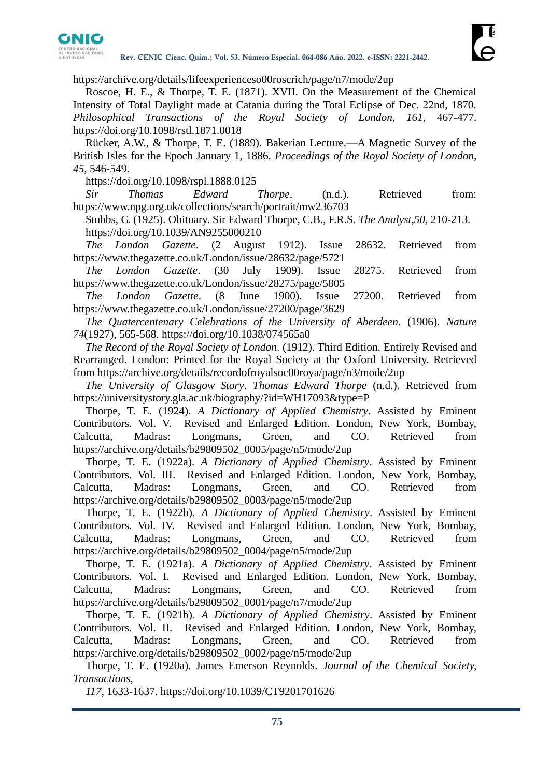

https://archive.org/details/lifeexperienceso00roscrich/page/n7/mode/2up

Roscoe, H. E., & Thorpe, T. E. (1871). XVII. On the Measurement of the Chemical Intensity of Total Daylight made at Catania during the Total Eclipse of Dec. 22nd, 1870. *Philosophical Transactions of the Royal Society of London*, *161*, 467-477. https://doi.org/10.1098/rstl.1871.0018

Rücker, A.W., & Thorpe, T. E. (1889). Bakerian Lecture.—A Magnetic Survey of the British Isles for the Epoch January 1, 1886. *Proceedings of the Royal Society of London*, *45*, 546-549.

https://doi.org/10.1098/rspl.1888.0125

*Sir Thomas Edward Thorpe*. (n.d.). Retrieved from: https://www.npg.org.uk/collections/search/portrait/mw236703

Stubbs, G. (1925). Obituary. Sir Edward Thorpe, C.B., F.R.S. *The Analyst*,*50*, 210-213. https://doi.org/10.1039/AN9255000210

*The London Gazette*. (2 August 1912). Issue 28632. Retrieved from https://www.thegazette.co.uk/London/issue/28632/page/5721

*The London Gazette*. (30 July 1909). Issue 28275. Retrieved from https://www.thegazette.co.uk/London/issue/28275/page/5805

*The London Gazette*. (8 June 1900). Issue 27200. Retrieved from https://www.thegazette.co.uk/London/issue/27200/page/3629

*The Quatercentenary Celebrations of the University of Aberdeen*. (1906). *Nature 74*(1927), 565-568. https://doi.org/10.1038/074565a0

*The Record of the Royal Society of London*. (1912). Third Edition. Entirely Revised and Rearranged. London: Printed for the Royal Society at the Oxford University. Retrieved from https://archive.org/details/recordofroyalsoc00roya/page/n3/mode/2up

*The University of Glasgow Story*. *Thomas Edward Thorpe* (n.d.). Retrieved from https://universitystory.gla.ac.uk/biography/?id=WH17093&type=P

Thorpe, T. E. (1924). *A Dictionary of Applied Chemistry*. Assisted by Eminent Contributors*.* Vol. V. Revised and Enlarged Edition. London, New York, Bombay, Calcutta, Madras: Longmans, Green, and CO. Retrieved from https://archive.org/details/b29809502\_0005/page/n5/mode/2up

Thorpe, T. E. (1922a). *A Dictionary of Applied Chemistry*. Assisted by Eminent Contributors*.* Vol. III. Revised and Enlarged Edition. London, New York, Bombay, Calcutta, Madras: Longmans, Green, and CO. Retrieved from https://archive.org/details/b29809502\_0003/page/n5/mode/2up

Thorpe, T. E. (1922b). *A Dictionary of Applied Chemistry*. Assisted by Eminent Contributors*.* Vol. IV. Revised and Enlarged Edition. London, New York, Bombay, Calcutta, Madras: Longmans, Green, and CO. Retrieved from https://archive.org/details/b29809502\_0004/page/n5/mode/2up

Thorpe, T. E. (1921a). *A Dictionary of Applied Chemistry*. Assisted by Eminent Contributors*.* Vol. I. Revised and Enlarged Edition. London, New York, Bombay, Calcutta, Madras: Longmans, Green, and CO. Retrieved from https://archive.org/details/b29809502\_0001/page/n7/mode/2up

Thorpe, T. E. (1921b). *A Dictionary of Applied Chemistry*. Assisted by Eminent Contributors*.* Vol. II. Revised and Enlarged Edition. London, New York, Bombay, Calcutta, Madras: Longmans, Green, and CO. Retrieved from https://archive.org/details/b29809502\_0002/page/n5/mode/2up

Thorpe, T. E. (1920a). James Emerson Reynolds. *Journal of the Chemical Society, Transactions*,

*117*, 1633-1637. https://doi.org/10.1039/CT9201701626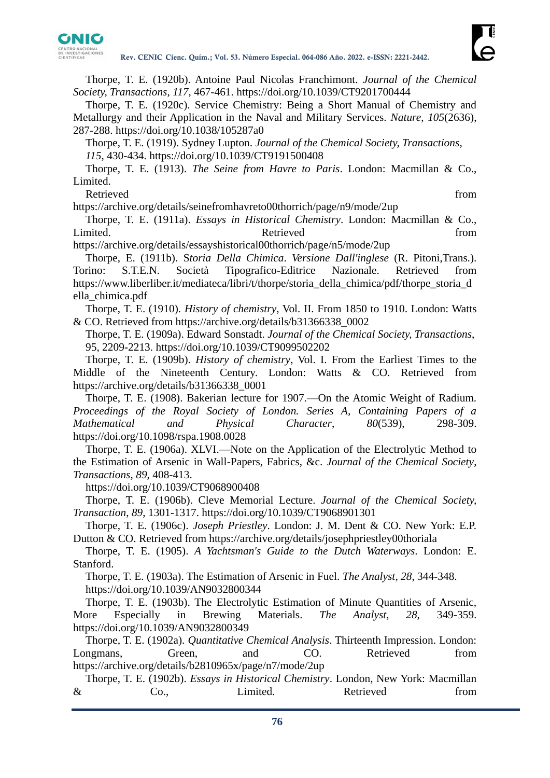

Thorpe, T. E. (1920b). Antoine Paul Nicolas Franchimont. *Journal of the Chemical Society, Transactions*, *117*, 467-461. https://doi.org/10.1039/CT9201700444

Thorpe, T. E. (1920c). Service Chemistry: Being a Short Manual of Chemistry and Metallurgy and their Application in the Naval and Military Services. *Nature*, *105*(2636), 287-288. https://doi.org/10.1038/105287a0

Thorpe, T. E. (1919). Sydney Lupton. *Journal of the Chemical Society, Transactions*, *115*, 430-434. https://doi.org/10.1039/CT9191500408

Thorpe, T. E. (1913). *The Seine from Havre to Paris*. London: Macmillan & Co., Limited.

Retrieved from the state of the state of the state of the state of the state of the state of the state of the state of the state of the state of the state of the state of the state of the state of the state of the state of

https://archive.org/details/seinefromhavreto00thorrich/page/n9/mode/2up Thorpe, T. E. (1911a). *Essays in Historical Chemistry*. London: Macmillan & Co., Limited. Contract the Retrieved from the Retrieved from the set of  $\mathbb{R}$  and  $\mathbb{R}$  and  $\mathbb{R}$  and  $\mathbb{R}$  and  $\mathbb{R}$  and  $\mathbb{R}$  are  $\mathbb{R}$  and  $\mathbb{R}$  and  $\mathbb{R}$  are  $\mathbb{R}$  and  $\mathbb{R}$  are  $\mathbb{R}$  and

https://archive.org/details/essayshistorical00thorrich/page/n5/mode/2up

Thorpe, E. (1911b). S*toria Della Chimica*. *Versione Dall'inglese* (R. Pitoni,Trans.). Torino: S.T.E.N. Società Tipografico-Editrice Nazionale. Retrieved from https://www.liberliber.it/mediateca/libri/t/thorpe/storia\_della\_chimica/pdf/thorpe\_storia\_d ella\_chimica.pdf

Thorpe, T. E. (1910). *History of chemistry*, Vol. II. From 1850 to 1910. London: Watts & CO. Retrieved from https://archive.org/details/b31366338\_0002

Thorpe, T. E. (1909a). Edward Sonstadt. *Journal of the Chemical Society, Transactions*, 95, 2209-2213. https://doi.org/10.1039/CT9099502202

Thorpe, T. E. (1909b). *History of chemistry*, Vol. I. From the Earliest Times to the Middle of the Nineteenth Century. London: Watts & CO. Retrieved from https://archive.org/details/b31366338\_0001

Thorpe, T. E. (1908). Bakerian lecture for 1907.—On the Atomic Weight of Radium. *Proceedings of the Royal Society of London. Series A, Containing Papers of a Mathematical and Physical Character*, *80*(539), 298-309. https://doi.org/10.1098/rspa.1908.0028

Thorpe, T. E. (1906a). XLVI.—Note on the Application of the Electrolytic Method to the Estimation of Arsenic in Wall-Papers, Fabrics, &c. *Journal of the Chemical Society*, *Transactions*, *89*, 408-413.

https://doi.org/10.1039/CT9068900408

Thorpe, T. E. (1906b). Cleve Memorial Lecture. *Journal of the Chemical Society, Transaction*, *89*, 1301-1317. https://doi.org/10.1039/CT9068901301

Thorpe, T. E. (1906c). *Joseph Priestley*. London: J. M. Dent & CO. New York: E.P. Dutton & CO. Retrieved from https://archive.org/details/josephpriestley00thoriala

Thorpe, T. E. (1905). *A Yachtsman's Guide to the Dutch Waterways*. London: E. Stanford.

Thorpe, T. E. (1903a). The Estimation of Arsenic in Fuel. *The Analyst*, *28*, 344-348. https://doi.org/10.1039/AN9032800344

Thorpe, T. E. (1903b). The Electrolytic Estimation of Minute Quantities of Arsenic, More Especially in Brewing Materials. *The Analyst*, *28*, 349-359. https://doi.org/10.1039/AN9032800349

Thorpe, T. E. (1902a). *Quantitative Chemical Analysis*. Thirteenth Impression. London: Longmans, Green, and CO. Retrieved from https://archive.org/details/b2810965x/page/n7/mode/2up

Thorpe, T. E. (1902b). *Essays in Historical Chemistry*. London, New York: Macmillan & Co., Limited. Retrieved from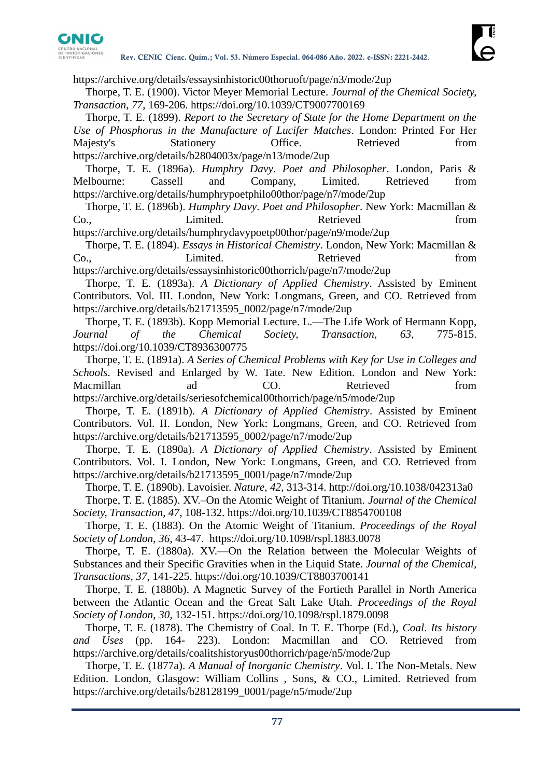

https://archive.org/details/essaysinhistoric00thoruoft/page/n3/mode/2up

Thorpe, T. E. (1900). Victor Meyer Memorial Lecture. *Journal of the Chemical Society, Transaction*, *77*, 169-206. https://doi.org/10.1039/CT9007700169

Thorpe, T. E. (1899). *Report to the Secretary of State for the Home Department on the Use of Phosphorus in the Manufacture of Lucifer Matches*. London: Printed For Her Majesty's Stationery Office. Retrieved from https://archive.org/details/b2804003x/page/n13/mode/2up

Thorpe, T. E. (1896a). *Humphry Davy*. *Poet and Philosopher*. London, Paris & Melbourne: Cassell and Company, Limited. Retrieved from https://archive.org/details/humphrypoetphilo00thor/page/n7/mode/2up

Thorpe, T. E. (1896b). *Humphry Davy*. *Poet and Philosopher*. New York: Macmillan & Co., Limited. Retrieved from

https://archive.org/details/humphrydavypoetp00thor/page/n9/mode/2up

Thorpe, T. E. (1894). *Essays in Historical Chemistry*. London, New York: Macmillan & Co., Limited. Retrieved from

https://archive.org/details/essaysinhistoric00thorrich/page/n7/mode/2up Thorpe, T. E. (1893a). *A Dictionary of Applied Chemistry*. Assisted by Eminent Contributors. Vol. III. London, New York: Longmans, Green, and CO. Retrieved from https://archive.org/details/b21713595\_0002/page/n7/mode/2up

Thorpe, T. E. (1893b). Kopp Memorial Lecture. L.—The Life Work of Hermann Kopp, *Journal of the Chemical Society, Transaction*, *63*, 775-815. https://doi.org/10.1039/CT8936300775

Thorpe, T. E. (1891a). *A Series of Chemical Problems with Key for Use in Colleges and Schools*. Revised and Enlarged by W. Tate. New Edition. London and New York: Macmillan ad CO. Retrieved from https://archive.org/details/seriesofchemical00thorrich/page/n5/mode/2up

Thorpe, T. E. (1891b). *A Dictionary of Applied Chemistry*. Assisted by Eminent Contributors. Vol. II. London, New York: Longmans, Green, and CO. Retrieved from https://archive.org/details/b21713595\_0002/page/n7/mode/2up

Thorpe, T. E. (1890a). *A Dictionary of Applied Chemistry*. Assisted by Eminent Contributors. Vol. I. London, New York: Longmans, Green, and CO. Retrieved from https://archive.org/details/b21713595\_0001/page/n7/mode/2up

Thorpe, T. E. (1890b). Lavoisier. *Nature*, *42*, 313-314. http://doi.org/10.1038/042313a0

Thorpe, T. E. (1885). XV.–On the Atomic Weight of Titanium. *Journal of the Chemical Society, Transaction*, *47*, 108-132. https://doi.org/10.1039/CT8854700108

Thorpe, T. E. (1883). On the Atomic Weight of Titanium. *Proceedings of the Royal Society of London*, *36*, 43-47. https://doi.org/10.1098/rspl.1883.0078

Thorpe, T. E. (1880a). XV.—On the Relation between the Molecular Weights of Substances and their Specific Gravities when in the Liquid State. *Journal of the Chemical, Transactions*, *37*, 141-225. https://doi.org/10.1039/CT8803700141

Thorpe, T. E. (1880b). A Magnetic Survey of the Fortieth Parallel in North America between the Atlantic Ocean and the Great Salt Lake Utah. *Proceedings of the Royal Society of London*, *30*, 132-151. https://doi.org/10.1098/rspl.1879.0098

Thorpe, T. E. (1878). The Chemistry of Coal. In T. E. Thorpe (Ed.), *Coal*. *Its history and Uses* (pp. 164- 223). London: Macmillan and CO. Retrieved from https://archive.org/details/coalitshistoryus00thorrich/page/n5/mode/2up

Thorpe, T. E. (1877a). *A Manual of Inorganic Chemistry*. Vol. I. The Non-Metals. New Edition. London, Glasgow: William Collins , Sons, & CO., Limited. Retrieved from https://archive.org/details/b28128199\_0001/page/n5/mode/2up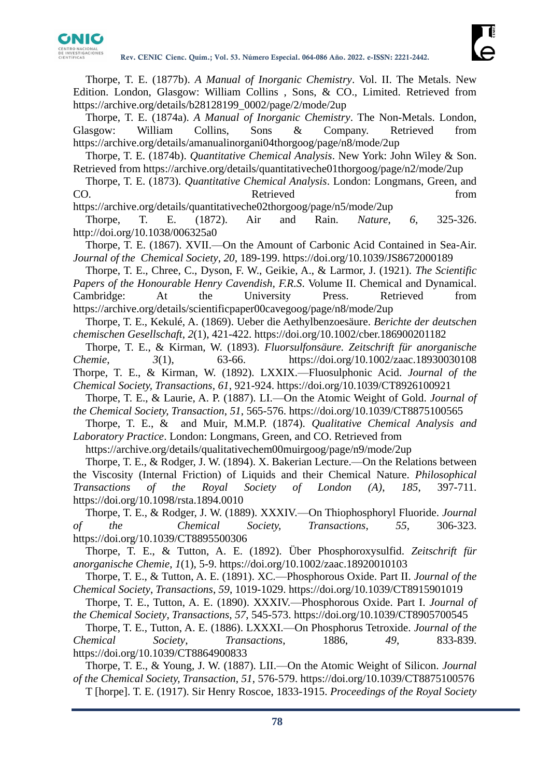

Thorpe, T. E. (1877b). *A Manual of Inorganic Chemistry*. Vol. II. The Metals. New Edition. London, Glasgow: William Collins , Sons, & CO., Limited. Retrieved from https://archive.org/details/b28128199\_0002/page/2/mode/2up

Thorpe, T. E. (1874a). *A Manual of Inorganic Chemistry*. The Non-Metals. London, Glasgow: William Collins, Sons & Company. Retrieved from https://archive.org/details/amanualinorgani04thorgoog/page/n8/mode/2up

Thorpe, T. E. (1874b). *Quantitative Chemical Analysis*. New York: John Wiley & Son. Retrieved from https://archive.org/details/quantitativeche01thorgoog/page/n2/mode/2up

Thorpe, T. E. (1873). *Quantitative Chemical Analysis*. London: Longmans, Green, and CO. Retrieved from  $\blacksquare$ 

https://archive.org/details/quantitativeche02thorgoog/page/n5/mode/2up

Thorpe, T. E. (1872). Air and Rain. *Nature*, *6*, 325-326. http://doi.org/10.1038/006325a0

Thorpe, T. E. (1867). XVII.—On the Amount of Carbonic Acid Contained in Sea-Air. *Journal of the Chemical Society*, *20*, 189-199. https://doi.org/10.1039/JS8672000189

Thorpe, T. E., Chree, C., Dyson, F. W., Geikie, A., & Larmor, J. (1921). *The Scientific Papers of the Honourable Henry Cavendish, F.R.S*. Volume II. Chemical and Dynamical. Cambridge: At the University Press. Retrieved from https://archive.org/details/scientificpaper00cavegoog/page/n8/mode/2up

Thorpe, T. E., Kekulé, A. (1869). Ueber die Aethylbenzoesäure. *Berichte der deutschen chemischen Gesellschaft*, *2*(1), 421-422. https://doi.org/10.1002/cber.186900201182

Thorpe, T. E., & Kirman, W. (1893). *Fluorsulfonsäure. Zeitschrift für anorganische Chemie*, *3*(1), 63-66. https://doi.org/10.1002/zaac.18930030108 Thorpe, T. E., & Kirman, W. (1892). LXXIX.—Fluosulphonic Acid. *Journal of the Chemical Society, Transactions*, *61*, 921-924. https://doi.org/10.1039/CT8926100921

Thorpe, T. E., & Laurie, A. P. (1887). LI.—On the Atomic Weight of Gold. *Journal of the Chemical Society, Transaction*, *51*, 565-576. https://doi.org/10.1039/CT8875100565

Thorpe, T. E., & and Muir, M.M.P. (1874). *Qualitative Chemical Analysis and Laboratory Practice*. London: Longmans, Green, and CO. Retrieved from

https://archive.org/details/qualitativechem00muirgoog/page/n9/mode/2up

Thorpe, T. E., & Rodger, J. W. (1894). X. Bakerian Lecture.—On the Relations between the Viscosity (Internal Friction) of Liquids and their Chemical Nature. *Philosophical Transactions of the Royal Society of London (A)*, *185*, 397-711. https://doi.org/10.1098/rsta.1894.0010

Thorpe, T. E., & Rodger, J. W. (1889). XXXIV.—On Thiophosphoryl Fluoride. *Journal of the Chemical Society, Transactions*, *55*, 306-323. https://doi.org/10.1039/CT8895500306

Thorpe, T. E., & Tutton, A. E. (1892). Über Phosphoroxysulfid. *Zeitschrift für anorganische Chemie*, *1*(1), 5-9. https://doi.org/10.1002/zaac.18920010103

Thorpe, T. E., & Tutton, A. E. (1891). XC.—Phosphorous Oxide. Part II. *Journal of the Chemical Society*, *Transactions*, *59*, 1019-1029. https://doi.org/10.1039/CT8915901019

Thorpe, T. E., Tutton, A. E. (1890). XXXIV.—Phosphorous Oxide. Part I. *Journal of the Chemical Society*, *Transactions*, *57*, 545-573. https://doi.org/10.1039/CT8905700545

Thorpe, T. E., Tutton, A. E. (1886). LXXXI.—On Phosphorus Tetroxide. *Journal of the Chemical Society*, *Transactions*, 1886, *49*, 833-839. https://doi.org/10.1039/CT8864900833

Thorpe, T. E., & Young, J. W. (1887). LII.—On the Atomic Weight of Silicon. *Journal of the Chemical Society, Transaction*, *51*, 576-579. https://doi.org/10.1039/CT8875100576 T [horpe]. T. E. (1917). Sir Henry Roscoe, 1833-1915. *Proceedings of the Royal Society*